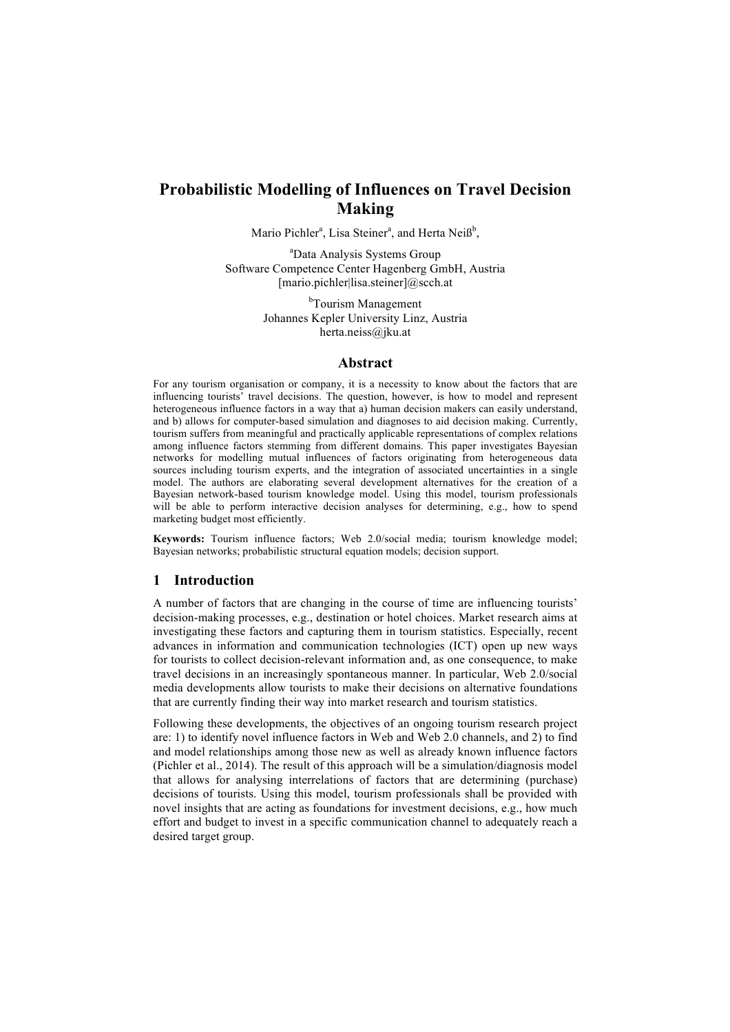# **Probabilistic Modelling of Influences on Travel Decision Making**

Mario Pichler<sup>a</sup>, Lisa Steiner<sup>a</sup>, and Herta Neiß<sup>b</sup>,

a Data Analysis Systems Group Software Competence Center Hagenberg GmbH, Austria [mario.pichler|lisa.steiner]@scch.at

> <sup>b</sup>Tourism Management Johannes Kepler University Linz, Austria herta.neiss@jku.at

### **Abstract**

For any tourism organisation or company, it is a necessity to know about the factors that are influencing tourists' travel decisions. The question, however, is how to model and represent heterogeneous influence factors in a way that a) human decision makers can easily understand, and b) allows for computer-based simulation and diagnoses to aid decision making. Currently, tourism suffers from meaningful and practically applicable representations of complex relations among influence factors stemming from different domains. This paper investigates Bayesian networks for modelling mutual influences of factors originating from heterogeneous data sources including tourism experts, and the integration of associated uncertainties in a single model. The authors are elaborating several development alternatives for the creation of a Bayesian network-based tourism knowledge model. Using this model, tourism professionals will be able to perform interactive decision analyses for determining, e.g., how to spend marketing budget most efficiently.

**Keywords:** Tourism influence factors; Web 2.0/social media; tourism knowledge model; Bayesian networks; probabilistic structural equation models; decision support.

## **1 Introduction**

A number of factors that are changing in the course of time are influencing tourists' decision-making processes, e.g., destination or hotel choices. Market research aims at investigating these factors and capturing them in tourism statistics. Especially, recent advances in information and communication technologies (ICT) open up new ways for tourists to collect decision-relevant information and, as one consequence, to make travel decisions in an increasingly spontaneous manner. In particular, Web 2.0/social media developments allow tourists to make their decisions on alternative foundations that are currently finding their way into market research and tourism statistics.

Following these developments, the objectives of an ongoing tourism research project are: 1) to identify novel influence factors in Web and Web 2.0 channels, and 2) to find and model relationships among those new as well as already known influence factors (Pichler et al., 2014). The result of this approach will be a simulation/diagnosis model that allows for analysing interrelations of factors that are determining (purchase) decisions of tourists. Using this model, tourism professionals shall be provided with novel insights that are acting as foundations for investment decisions, e.g., how much effort and budget to invest in a specific communication channel to adequately reach a desired target group.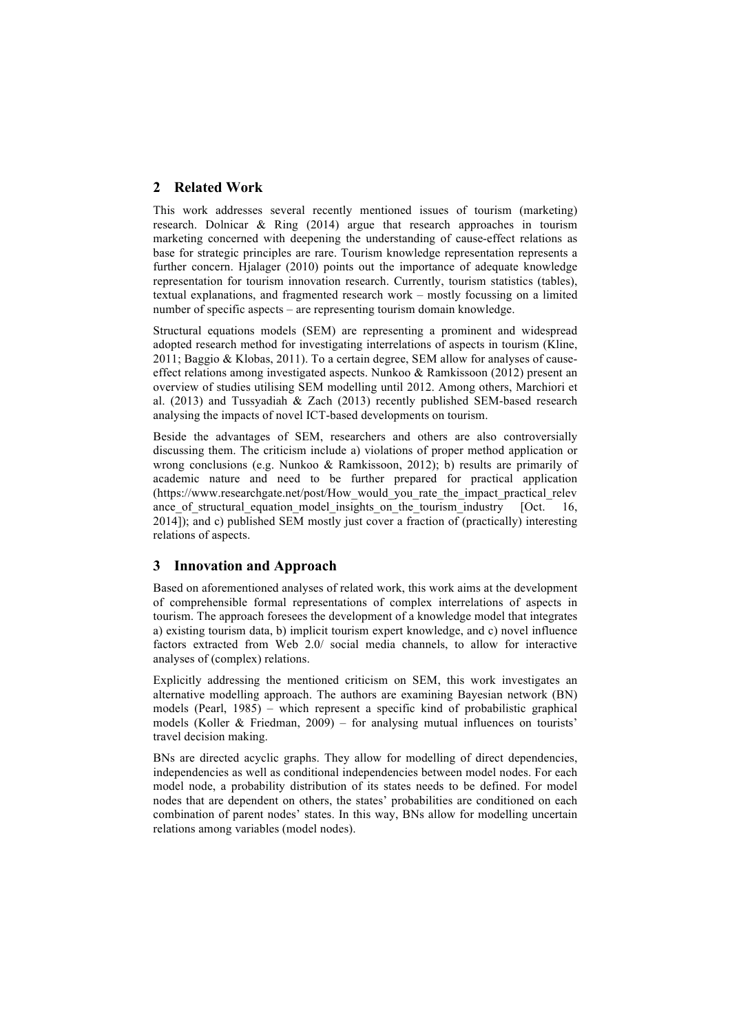# **2 Related Work**

This work addresses several recently mentioned issues of tourism (marketing) research. Dolnicar & Ring (2014) argue that research approaches in tourism marketing concerned with deepening the understanding of cause-effect relations as base for strategic principles are rare. Tourism knowledge representation represents a further concern. Hjalager (2010) points out the importance of adequate knowledge representation for tourism innovation research. Currently, tourism statistics (tables), textual explanations, and fragmented research work – mostly focussing on a limited number of specific aspects – are representing tourism domain knowledge.

Structural equations models (SEM) are representing a prominent and widespread adopted research method for investigating interrelations of aspects in tourism (Kline, 2011; Baggio & Klobas, 2011). To a certain degree, SEM allow for analyses of causeeffect relations among investigated aspects. Nunkoo & Ramkissoon (2012) present an overview of studies utilising SEM modelling until 2012. Among others, Marchiori et al. (2013) and Tussyadiah & Zach (2013) recently published SEM-based research analysing the impacts of novel ICT-based developments on tourism.

Beside the advantages of SEM, researchers and others are also controversially discussing them. The criticism include a) violations of proper method application or wrong conclusions (e.g. Nunkoo & Ramkissoon, 2012); b) results are primarily of academic nature and need to be further prepared for practical application (https://www.researchgate.net/post/How\_would\_you\_rate\_the\_impact\_practical\_relev ance of structural equation model insights on the tourism industry  $[Oct. 16,$ 2014]); and c) published SEM mostly just cover a fraction of (practically) interesting relations of aspects.

# **3 Innovation and Approach**

Based on aforementioned analyses of related work, this work aims at the development of comprehensible formal representations of complex interrelations of aspects in tourism. The approach foresees the development of a knowledge model that integrates a) existing tourism data, b) implicit tourism expert knowledge, and c) novel influence factors extracted from Web 2.0/ social media channels, to allow for interactive analyses of (complex) relations.

Explicitly addressing the mentioned criticism on SEM, this work investigates an alternative modelling approach. The authors are examining Bayesian network (BN) models (Pearl, 1985) – which represent a specific kind of probabilistic graphical models (Koller & Friedman,  $2009$ ) – for analysing mutual influences on tourists' travel decision making.

BNs are directed acyclic graphs. They allow for modelling of direct dependencies, independencies as well as conditional independencies between model nodes. For each model node, a probability distribution of its states needs to be defined. For model nodes that are dependent on others, the states' probabilities are conditioned on each combination of parent nodes' states. In this way, BNs allow for modelling uncertain relations among variables (model nodes).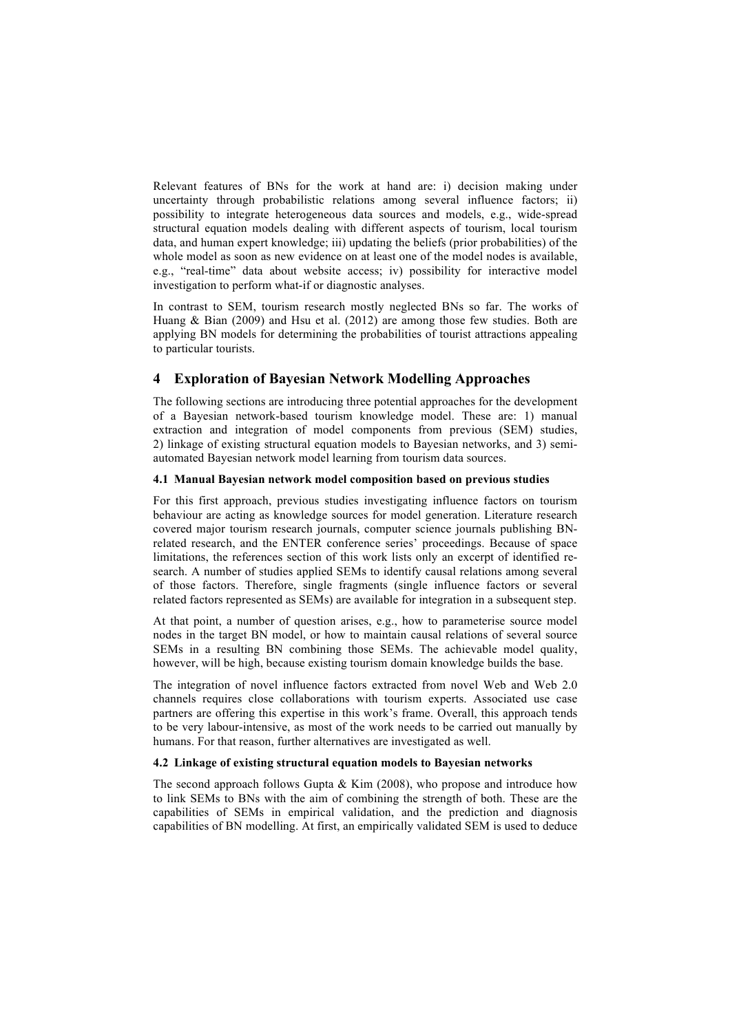Relevant features of BNs for the work at hand are: i) decision making under uncertainty through probabilistic relations among several influence factors; ii) possibility to integrate heterogeneous data sources and models, e.g., wide-spread structural equation models dealing with different aspects of tourism, local tourism data, and human expert knowledge; iii) updating the beliefs (prior probabilities) of the whole model as soon as new evidence on at least one of the model nodes is available, e.g., "real-time" data about website access; iv) possibility for interactive model investigation to perform what-if or diagnostic analyses.

In contrast to SEM, tourism research mostly neglected BNs so far. The works of Huang & Bian (2009) and Hsu et al. (2012) are among those few studies. Both are applying BN models for determining the probabilities of tourist attractions appealing to particular tourists.

# **4 Exploration of Bayesian Network Modelling Approaches**

The following sections are introducing three potential approaches for the development of a Bayesian network-based tourism knowledge model. These are: 1) manual extraction and integration of model components from previous (SEM) studies, 2) linkage of existing structural equation models to Bayesian networks, and 3) semiautomated Bayesian network model learning from tourism data sources.

## **4.1 Manual Bayesian network model composition based on previous studies**

For this first approach, previous studies investigating influence factors on tourism behaviour are acting as knowledge sources for model generation. Literature research covered major tourism research journals, computer science journals publishing BNrelated research, and the ENTER conference series' proceedings. Because of space limitations, the references section of this work lists only an excerpt of identified research. A number of studies applied SEMs to identify causal relations among several of those factors. Therefore, single fragments (single influence factors or several related factors represented as SEMs) are available for integration in a subsequent step.

At that point, a number of question arises, e.g., how to parameterise source model nodes in the target BN model, or how to maintain causal relations of several source SEMs in a resulting BN combining those SEMs. The achievable model quality, however, will be high, because existing tourism domain knowledge builds the base.

The integration of novel influence factors extracted from novel Web and Web 2.0 channels requires close collaborations with tourism experts. Associated use case partners are offering this expertise in this work's frame. Overall, this approach tends to be very labour-intensive, as most of the work needs to be carried out manually by humans. For that reason, further alternatives are investigated as well.

#### **4.2 Linkage of existing structural equation models to Bayesian networks**

The second approach follows Gupta  $& Kim (2008)$ , who propose and introduce how to link SEMs to BNs with the aim of combining the strength of both. These are the capabilities of SEMs in empirical validation, and the prediction and diagnosis capabilities of BN modelling. At first, an empirically validated SEM is used to deduce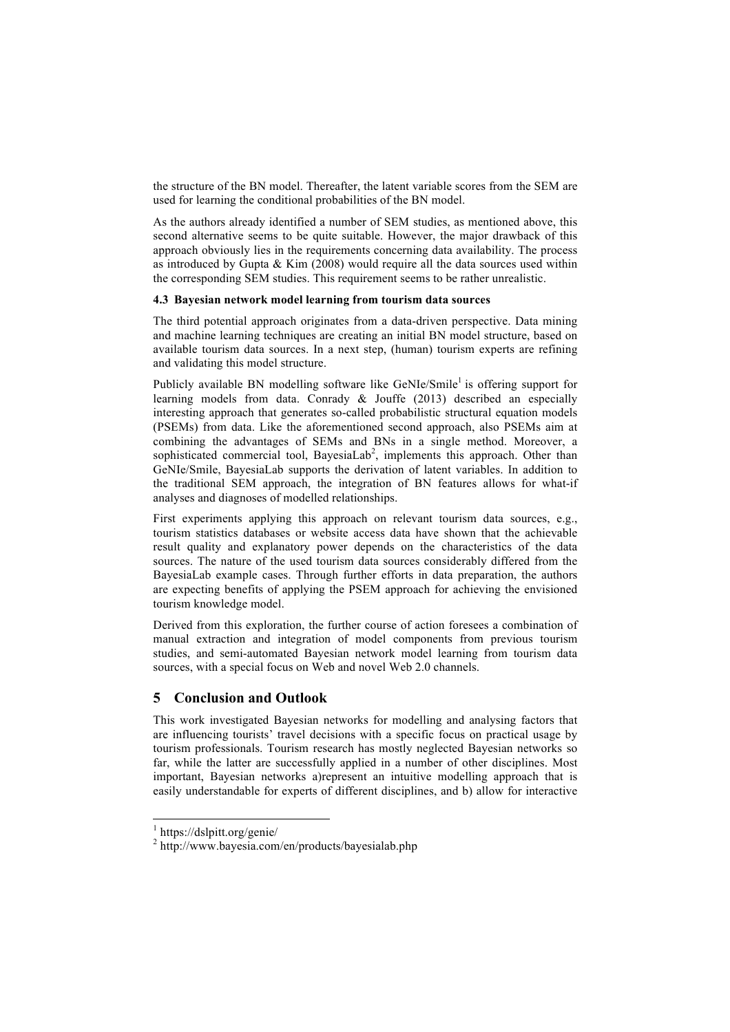the structure of the BN model. Thereafter, the latent variable scores from the SEM are used for learning the conditional probabilities of the BN model.

As the authors already identified a number of SEM studies, as mentioned above, this second alternative seems to be quite suitable. However, the major drawback of this approach obviously lies in the requirements concerning data availability. The process as introduced by Gupta  $& Kim (2008)$  would require all the data sources used within the corresponding SEM studies. This requirement seems to be rather unrealistic.

### **4.3 Bayesian network model learning from tourism data sources**

The third potential approach originates from a data-driven perspective. Data mining and machine learning techniques are creating an initial BN model structure, based on available tourism data sources. In a next step, (human) tourism experts are refining and validating this model structure.

Publicly available BN modelling software like GeNIe/Smile<sup>1</sup> is offering support for learning models from data. Conrady & Jouffe (2013) described an especially interesting approach that generates so-called probabilistic structural equation models (PSEMs) from data. Like the aforementioned second approach, also PSEMs aim at combining the advantages of SEMs and BNs in a single method. Moreover, a sophisticated commercial tool, BayesiaLab<sup>2</sup>, implements this approach. Other than GeNIe/Smile, BayesiaLab supports the derivation of latent variables. In addition to the traditional SEM approach, the integration of BN features allows for what-if analyses and diagnoses of modelled relationships.

First experiments applying this approach on relevant tourism data sources, e.g., tourism statistics databases or website access data have shown that the achievable result quality and explanatory power depends on the characteristics of the data sources. The nature of the used tourism data sources considerably differed from the BayesiaLab example cases. Through further efforts in data preparation, the authors are expecting benefits of applying the PSEM approach for achieving the envisioned tourism knowledge model.

Derived from this exploration, the further course of action foresees a combination of manual extraction and integration of model components from previous tourism studies, and semi-automated Bayesian network model learning from tourism data sources, with a special focus on Web and novel Web 2.0 channels.

# **5 Conclusion and Outlook**

This work investigated Bayesian networks for modelling and analysing factors that are influencing tourists' travel decisions with a specific focus on practical usage by tourism professionals. Tourism research has mostly neglected Bayesian networks so far, while the latter are successfully applied in a number of other disciplines. Most important, Bayesian networks a)represent an intuitive modelling approach that is easily understandable for experts of different disciplines, and b) allow for interactive

 <sup>1</sup> https://dslpitt.org/genie/

<sup>&</sup>lt;sup>2</sup> http://www.bayesia.com/en/products/bayesialab.php